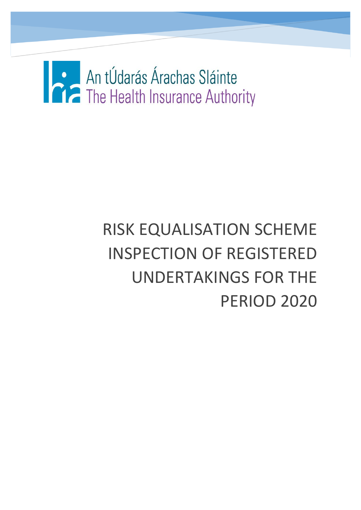# An tÚdarás Árachas Sláinte<br>The Health Insurance Authority

# RISK EQUALISATION SCHEME INSPECTION OF REGISTERED UNDERTAKINGS FOR THE PERIOD 2020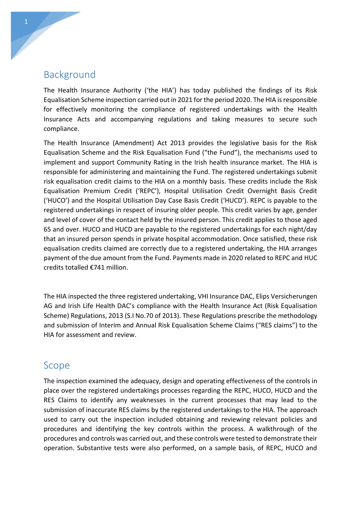# Background

The Health Insurance Authority ('the HIA') has today published the findings of its Risk Equalisation Scheme inspection carried out in 2021 for the period 2020. The HIA is responsible for effectively monitoring the compliance of registered undertakings with the Health Insurance Acts and accompanying regulations and taking measures to secure such compliance.

The Health Insurance (Amendment) Act 2013 provides the legislative basis for the Risk Equalisation Scheme and the Risk Equalisation Fund ("the Fund"), the mechanisms used to implement and support Community Rating in the Irish health insurance market. The HIA is responsible for administering and maintaining the Fund. The registered undertakings submit risk equalisation credit claims to the HIA on a monthly basis. These credits include the Risk Equalisation Premium Credit ('REPC'), Hospital Utilisation Credit Overnight Basis Credit ('HUCO') and the Hospital Utilisation Day Case Basis Credit ('HUCD'). REPC is payable to the registered undertakings in respect of insuring older people. This credit varies by age, gender and level of cover of the contact held by the insured person. This credit applies to those aged 65 and over. HUCO and HUCD are payable to the registered undertakings for each night/day that an insured person spends in private hospital accommodation. Once satisfied, these risk equalisation credits claimed are correctly due to a registered undertaking, the HIA arranges payment of the due amount from the Fund. Payments made in 2020 related to REPC and HUC credits totalled €741 million.

The HIA inspected the three registered undertaking, VHI Insurance DAC, Elips Versicherungen AG and Irish Life Health DAC's compliance with the Health Insurance Act (Risk Equalisation Scheme) Regulations, 2013 (S.I No.70 of 2013). These Regulations prescribe the methodology and submission of Interim and Annual Risk Equalisation Scheme Claims ("RES claims") to the HIA for assessment and review.

### Scope

The inspection examined the adequacy, design and operating effectiveness of the controls in place over the registered undertakings processes regarding the REPC, HUCO, HUCD and the RES Claims to identify any weaknesses in the current processes that may lead to the submission of inaccurate RES claims by the registered undertakings to the HIA. The approach used to carry out the inspection included obtaining and reviewing relevant policies and procedures and identifying the key controls within the process. A walkthrough of the procedures and controls was carried out, and these controls were tested to demonstrate their operation. Substantive tests were also performed, on a sample basis, of REPC, HUCO and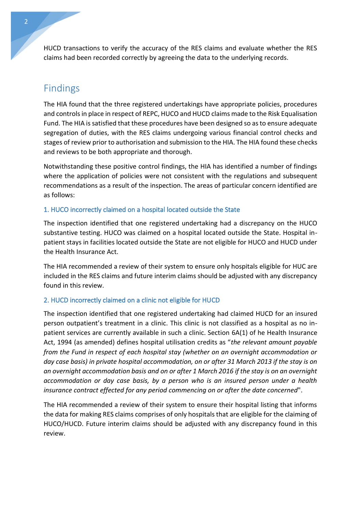HUCD transactions to verify the accuracy of the RES claims and evaluate whether the RES claims had been recorded correctly by agreeing the data to the underlying records.

# Findings

The HIA found that the three registered undertakings have appropriate policies, procedures and controls in place in respect of REPC, HUCO and HUCD claims made to the Risk Equalisation Fund. The HIA is satisfied that these procedures have been designed so as to ensure adequate segregation of duties, with the RES claims undergoing various financial control checks and stages of review prior to authorisation and submission to the HIA. The HIA found these checks and reviews to be both appropriate and thorough.

Notwithstanding these positive control findings, the HIA has identified a number of findings where the application of policies were not consistent with the regulations and subsequent recommendations as a result of the inspection. The areas of particular concern identified are as follows:

#### 1. HUCO incorrectly claimed on a hospital located outside the State

The inspection identified that one registered undertaking had a discrepancy on the HUCO substantive testing. HUCO was claimed on a hospital located outside the State. Hospital inpatient stays in facilities located outside the State are not eligible for HUCO and HUCD under the Health Insurance Act.

The HIA recommended a review of their system to ensure only hospitals eligible for HUC are included in the RES claims and future interim claims should be adjusted with any discrepancy found in this review.

#### 2. HUCD incorrectly claimed on a clinic not eligible for HUCD

The inspection identified that one registered undertaking had claimed HUCD for an insured person outpatient's treatment in a clinic. This clinic is not classified as a hospital as no inpatient services are currently available in such a clinic. Section 6A(1) of he Health Insurance Act, 1994 (as amended) defines hospital utilisation credits as "*the relevant amount payable from the Fund in respect of each hospital stay (whether on an overnight accommodation or day case basis) in private hospital accommodation, on or after 31 March 2013 if the stay is on an overnight accommodation basis and on or after 1 March 2016 if the stay is on an overnight accommodation or day case basis, by a person who is an insured person under a health insurance contract effected for any period commencing on or after the date concerned*".

The HIA recommended a review of their system to ensure their hospital listing that informs the data for making RES claims comprises of only hospitals that are eligible for the claiming of HUCO/HUCD. Future interim claims should be adjusted with any discrepancy found in this review.